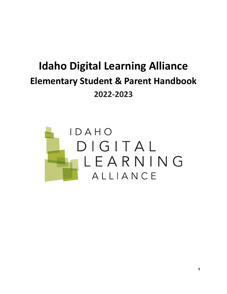# **Idaho Digital Learning Alliance Elementary Student & Parent Handbook 2022-2023**

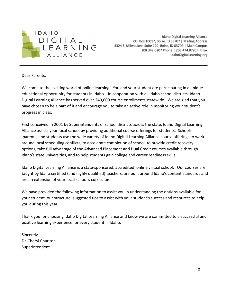

Idaho Digital Learning Alliance P.O. Box 10017, Boise, ID 83707 | Mailing Address 3324 S. Milwaukee, Suite 120, Boise, ID 83709 | Main Campus 208.342.0207 Phone | 208.474.8795 HR Fax IdahoDigitalLearning.org

Dear Parents,

Welcome to the exciting world of online learning! You and your student are participating in a unique educational opportunity for students in Idaho. In cooperation with all Idaho school districts, Idaho Digital Learning Alliance has served over 240,000 course enrollments statewide! We are glad that you have chosen to be a part of it and encourage you to take an active role in monitoring your student's progress in class.

First conceived in 2001 by Superintendents of school districts across the state, Idaho Digital Learning Alliance assists your local school by providing additional course offerings for students. Schools, parents, and students use the wide variety of Idaho Digital Learning Alliance course offerings to work around local scheduling conflicts, to accelerate completion of school, to provide credit recovery options, take full advantage of the Advanced Placement and Dual Credit courses available through Idaho's state universities, and to help students gain college and career readiness skills.

Idaho Digital Learning Alliance is a state-sponsored, accredited, online virtual school. Our courses are taught by Idaho certified (and highly qualified) teachers, are built around Idaho's content standards and are an extension of your local school's curriculum.

We have provided the following information to assist you in understanding the options available for your student, our structure, suggested tips to assist with your student's success and resources to help you during this year.

Thank you for choosing Idaho Digital Learning Alliance and know we are committed to a successful and positive learning experience for every student in Idaho.

Sincerely, Dr. Cheryl Charlton Superintendent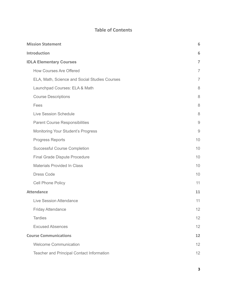# **Table of Contents**

| <b>Mission Statement</b>                      | 6              |
|-----------------------------------------------|----------------|
| <b>Introduction</b>                           | 6              |
| <b>IDLA Elementary Courses</b>                | $\overline{7}$ |
| <b>How Courses Are Offered</b>                | $\overline{7}$ |
| ELA, Math, Science and Social Studies Courses | $\overline{7}$ |
| Launchpad Courses: ELA & Math                 | 8              |
| <b>Course Descriptions</b>                    | 8              |
| Fees                                          | 8              |
| <b>Live Session Schedule</b>                  | 8              |
| <b>Parent Course Responsibilities</b>         | $\overline{9}$ |
| Monitoring Your Student's Progress            | $\overline{9}$ |
| <b>Progress Reports</b>                       | 10             |
| <b>Successful Course Completion</b>           | 10             |
| <b>Final Grade Dispute Procedure</b>          | 10             |
| <b>Materials Provided In Class</b>            | 10             |
| <b>Dress Code</b>                             | 10             |
| <b>Cell Phone Policy</b>                      | 11             |
| <b>Attendance</b>                             | 11             |
| Live Session Attendance                       | 11             |
| <b>Friday Attendance</b>                      | 12             |
| <b>Tardies</b>                                | 12             |
| <b>Excused Absences</b>                       | 12             |
| <b>Course Communications</b>                  | 12             |
| <b>Welcome Communication</b>                  | 12             |
| Teacher and Principal Contact Information     | 12             |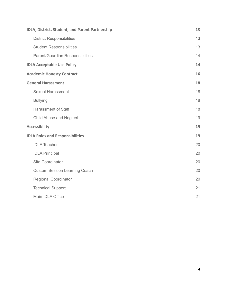| IDLA, District, Student, and Parent Partnership | 13 |
|-------------------------------------------------|----|
| <b>District Responsibilities</b>                | 13 |
| <b>Student Responsibilities</b>                 | 13 |
| Parent/Guardian Responsibilities                | 14 |
| <b>IDLA Acceptable Use Policy</b>               | 14 |
| <b>Academic Honesty Contract</b>                | 16 |
| <b>General Harassment</b>                       | 18 |
| <b>Sexual Harassment</b>                        | 18 |
| <b>Bullying</b>                                 | 18 |
| <b>Harassment of Staff</b>                      | 18 |
| <b>Child Abuse and Neglect</b>                  | 19 |
| <b>Accessibility</b>                            | 19 |
| <b>IDLA Roles and Responsibilities</b>          | 19 |
| <b>IDLA Teacher</b>                             | 20 |
| <b>IDLA Principal</b>                           | 20 |
| Site Coordinator                                | 20 |
| <b>Custom Session Learning Coach</b>            | 20 |
| <b>Regional Coordinator</b>                     | 20 |
| <b>Technical Support</b>                        | 21 |
| Main IDLA Office                                | 21 |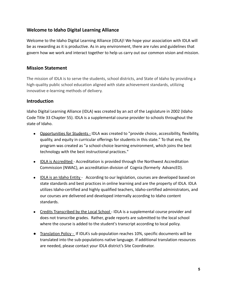# **Welcome to Idaho Digital Learning Alliance**

Welcome to the Idaho Digital Learning Alliance (IDLA)! We hope your association with IDLA will be as rewarding as it is productive. As in any environment, there are rules and guidelines that govern how we work and interact together to help us carry out our common vision and mission.

## <span id="page-4-0"></span>**Mission Statement**

The mission of IDLA is to serve the students, school districts, and State of Idaho by providing a high-quality public school education aligned with state achievement standards, utilizing innovative e-learning methods of delivery.

## <span id="page-4-1"></span>**Introduction**

[Idaho Digital Learning Alliance \(IDLA\)](http://idla.blackboard.com/webapps/portal/frameset.jsp) was created by an act of the Legislature in 2002 (Idaho Code Title 33 Chapter 55). IDLA is a supplemental course provider to schools throughout the state of Idaho.

- Opportunities for Students IDLA was created to "provide choice, accessibility, flexibility, quality, and equity in curricular offerings for students in this state." To that end, the program was created as "a school-choice learning environment, which joins the best technology with the best instructional practices."
- IDLA is Accredited Accreditation is provided through the [Northwest Accreditation](http://www.northwestaccreditation.org/) [Commission \(NWAC\), an accreditation division of Cognia \(formerly AdvancED\)](http://www.northwestaccreditation.org/).
- IDLA is an Idaho Entity According to our legislation, courses are developed based on state standards and best practices in online learning and are the property of IDLA. IDLA utilizes Idaho-certified and highly qualified teachers, Idaho-certified administrators, and our courses are delivered and developed internally according to Idaho content standards.
- Credits Transcribed by the Local School IDLA is a supplemental course provider and does not transcribe grades. Rather, grade reports are submitted to the local school where the course is added to the student's transcript according to local policy.
- Translation Policy If IDLA's sub-population reaches 10%, specific documents will be translated into the sub-populations native language. If additional translation resources are needed, please contact your IDLA district's Site Coordinator.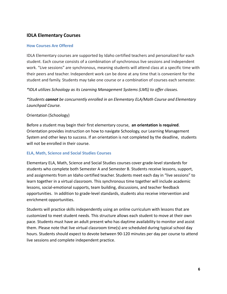## <span id="page-5-0"></span>**IDLA Elementary Courses**

## <span id="page-5-1"></span>**How Courses Are Offered**

IDLA Elementary courses are supported by Idaho certified teachers and personalized for each student. Each course consists of a combination of synchronous live sessions and independent work. "Live sessions" are synchronous, meaning students will attend class at a specific time with their peers and teacher. Independent work can be done at any time that is convenient for the student and family. Students may take one course or a combination of courses each semester.

*\*IDLA utilizes Schoology as its Learning Management Systems (LMS) to offer classes.*

*\*Students cannot be concurrently enrolled in an Elementary ELA/Math Course and Elementary Launchpad Course.*

## Orientation (Schoology)

Before a student may begin their first elementary course, **an orientation is required**. Orientation provides instruction on how to navigate Schoology, our Learning Management System and other keys to success. If an orientation is not completed by the deadline, students will not be enrolled in their course.

## <span id="page-5-2"></span>**ELA, Math, Science and Social Studies Courses**

Elementary ELA, Math, Science and Social Studies courses cover grade-level standards for students who complete both Semester A and Semester B. Students receive lessons, support, and assignments from an Idaho certified teacher. Students meet each day in "live sessions" to learn together in a virtual classroom. This synchronous time together will include academic lessons, social-emotional supports, team building, discussions, and teacher feedback opportunities. In addition to grade-level standards, students also receive intervention and enrichment opportunities.

Students will practice skills independently using an online curriculum with lessons that are customized to meet student needs. This structure allows each student to move at their own pace. Students must have an adult present who has daytime availability to monitor and assist them. Please note that live virtual classroom time(s) are scheduled during typical school day hours. Students should expect to devote between 90-120 minutes per day per course to attend live sessions and complete independent practice.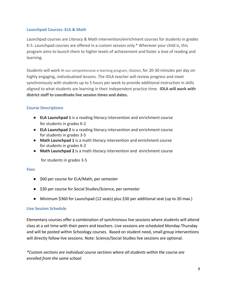#### <span id="page-6-0"></span>**Launchpad Courses: ELA & Math**

Launchpad courses are Literacy & Math intervention/enrichment courses for students in grades K-5. Launchpad courses are offered in a custom session only.\* Wherever your child is, this program aims to launch them to higher levels of achievement and foster a love of reading and learning.

Students will work in our comprehensive e-learning program, iStation, for 20-30 minutes per day on highly engaging, individualized lessons. The IDLA teacher will review progress and meet synchronously with students up to 5 hours per week to provide additional instruction in skills aligned to what students are learning in their independent practice time. **IDLA will work with district staff to coordinate live session times and dates.**

## <span id="page-6-1"></span>**Course Descriptions**

- **ELA Launchpad 1** is a reading literacy intervention and enrichment course for students in grades K-2
- **ELA Launchpad 2** is a reading literacy intervention and enrichment course for students in grades 3-5
- **Math Launchpad 1** is a math literacy intervention and enrichment course for students in grades K-2
- **Math Launchpad 2** is a math literacy intervention and enrichment course

for students in grades 3-5

#### <span id="page-6-2"></span>**Fees**

- \$60 per course for ELA/Math, per semester
- \$30 per course for Social Studies/Science, per semester
- Minimum \$360 for Launchpad (12 seats) plus \$30 per additional seat (up to 20 max.)

#### <span id="page-6-3"></span>**Live Session Schedule**

Elementary courses offer a combination of synchronous live sessions where students will attend class at a set time with their peers and teachers. Live sessions are scheduled Monday-Thursday and will be posted within Schoology courses. Based on student need, small group interventions will directly follow live sessions. Note: Science/Social Studies live sessions are optional.

*\*Custom sections are individual course sections where all students within the course are enrolled from the same school.*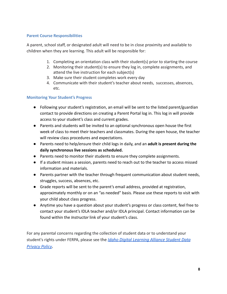## **Parent Course Responsibilities**

<span id="page-7-0"></span>A parent, school staff, or designated adult will need to be in close proximity and available to children when they are learning. This adult will be responsible for:

- 1. Completing an orientation class with their student(s) prior to starting the course
- 2. Monitoring their student(s) to ensure they log in, complete assignments, and attend the live instruction for each subject(s)
- 3. Make sure their student completes work every day
- 4. Communicate with their student's teacher about needs, successes, absences, etc.

## <span id="page-7-1"></span>**Monitoring Your Student's Progress**

- Following your student's registration, an email will be sent to the listed parent/guardian contact to provide directions on creating a Parent Portal log in. This log in will provide access to your student's class and current grades.
- Parents and students will be invited to an optional synchronous open house the first week of class to meet their teachers and classmates. During the open house, the teacher will review class procedures and expectations.
- Parents need to help/ensure their child logs in daily, and an **adult is present during the daily synchronous live sessions as scheduled.**
- Parents need to monitor their students to ensure they complete assignments.
- If a student misses a session, parents need to reach out to the teacher to access missed information and materials.
- Parents partner with the teacher through frequent communication about student needs, struggles, success, absences, etc.
- Grade reports will be sent to the parent's email address, provided at registration, approximately monthly or on an "as needed" basis. Please use these reports to visit with your child about class progress.
- Anytime you have a question about your student's progress or class content, feel free to contact your student's IDLA teacher and/or IDLA principal. Contact information can be found within the *Instructor* link of your student's class.

For any parental concerns regarding the collection of student data or to understand your student's rights under FERPA, please see the *Idaho Digital [Learning](https://www.idahodigitallearning.org/privacy/) Alliance Student Data [Privacy](https://www.idahodigitallearning.org/privacy/) Policy.*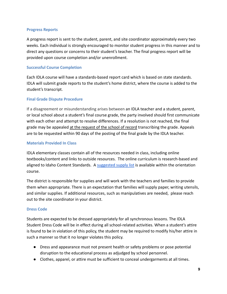#### <span id="page-8-0"></span>**Progress Reports**

A progress report is sent to the student, parent, and site coordinator approximately every two weeks. Each individual is strongly encouraged to monitor student progress in this manner and to direct any questions or concerns to their student's teacher. The final progress report will be provided upon course completion and/or unenrollment.

#### <span id="page-8-1"></span>**Successful Course Completion**

Each IDLA course will have a standards-based report card which is based on state standards. IDLA will submit grade reports to the student's home district, where the course is added to the student's transcript.

## <span id="page-8-2"></span>**Final Grade Dispute Procedure**

If a disagreement or misunderstanding arises between an IDLA teacher and a student, parent, or local school about a student's final course grade, the party involved should first communicate with each other and attempt to resolve differences. If a resolution is not reached, the final grade may be appealed at the request of the school of record transcribing the grade. Appeals are to be requested within 90 days of the posting of the final grade by the IDLA teacher.

## <span id="page-8-3"></span>**Materials Provided In Class**

IDLA elementary classes contain all of the resources needed in class, including online textbooks/content and links to outside resources. The online curriculum is research-based and aligned to Idaho Content Standards. A [suggested supply](https://idla.coursearc.com/index.php?cID=71485) list is available within the orientation course.

The district is responsible for supplies and will work with the teachers and families to provide them when appropriate. There is an expectation that families will supply paper, writing utensils, and similar supplies. If additional resources, such as manipulatives are needed, please reach out to the site coordinator in your district.

#### <span id="page-8-4"></span>**Dress Code**

Students are expected to be dressed appropriately for all synchronous lessons. The IDLA Student Dress Code will be in effect during all school-related activities. When a student's attire is found to be in violation of this policy, the student may be required to modify his/her attire in such a manner so that it no longer violates this policy.

- Dress and appearance must not present health or safety problems or pose potential disruption to the educational process as adjudged by school personnel.
- Clothes, apparel, or attire must be sufficient to conceal undergarments at all times.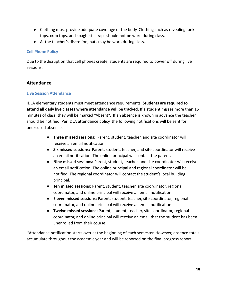- Clothing must provide adequate coverage of the body. Clothing such as revealing tank tops, crop tops, and spaghetti straps should not be worn during class.
- At the teacher's discretion, hats may be worn during class.

## <span id="page-9-0"></span>**Cell Phone Policy**

Due to the disruption that cell phones create, students are required to power off during live sessions.

## <span id="page-9-1"></span>**Attendance**

## <span id="page-9-2"></span>**Live Session Attendance**

IDLA elementary students must meet attendance requirements. **Students are required to attend all daily live classes where attendance will be tracked.** If a student misses more than 15 minutes of class, they will be marked "Absent". If an absence is known in advance the teacher should be notified. Per IDLA attendance policy, the following notifications will be sent for unexcused absences:

- **Three missed sessions:** Parent, student, teacher, and site coordinator will receive an email notification.
- **Six missed sessions:** Parent, student, teacher, and site coordinator will receive an email notification. The online principal will contact the parent.
- **Nine missed sessions:** Parent, student, teacher, and site coordinator will receive an email notification. The online principal and regional coordinator will be notified. The regional coordinator will contact the student's local building principal.
- **Ten missed sessions:** Parent, student, teacher, site coordinator, regional coordinator, and online principal will receive an email notification.
- **Eleven missed sessions:** Parent, student, teacher, site coordinator, regional coordinator, and online principal will receive an email notification.
- **Twelve missed sessions:** Parent, student, teacher, site coordinator, regional coordinator, and online principal will receive an email that the student has been unenrolled from their course.

\*Attendance notification starts over at the beginning of each semester. However, absence totals accumulate throughout the academic year and will be reported on the final progress report.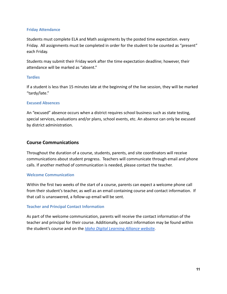#### <span id="page-10-0"></span>**Friday Attendance**

Students must complete ELA and Math assignments by the posted time expectation. every Friday. All assignments must be completed in order for the student to be counted as "present" each Friday.

Students may submit their Friday work after the time expectation deadline; however, their attendance will be marked as "absent."

## <span id="page-10-1"></span>**Tardies**

If a student is less than 15 minutes late at the beginning of the live session, they will be marked "tardy/late."

## <span id="page-10-2"></span>**Excused Absences**

An "excused" absence occurs when a district requires school business such as state testing, special services, evaluations and/or plans, school events, etc. An absence can only be excused by district administration.

## <span id="page-10-3"></span>**Course Communications**

Throughout the duration of a course, students, parents, and site coordinators will receive communications about student progress. Teachers will communicate through email and phone calls. If another method of communication is needed, please contact the teacher.

#### <span id="page-10-4"></span>**Welcome Communication**

Within the first two weeks of the start of a course, parents can expect a welcome phone call from their student's teacher, as well as an email containing course and contact information. If that call is unanswered, a follow-up email will be sent.

## <span id="page-10-5"></span>**Teacher and Principal Contact Information**

As part of the welcome communication, parents will receive the contact information of the teacher and principal for their course. Additionally, contact information may be found within the student's course and on the *[Idaho Digital Learning](https://www.idahodigitallearning.org/our-team/faculty/) Alliance website.*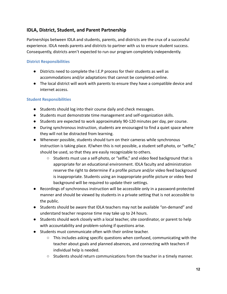# <span id="page-11-0"></span>**IDLA, District, Student, and Parent Partnership**

Partnerships between IDLA and students, parents, and districts are the crux of a successful experience. IDLA needs parents and districts to partner with us to ensure student success. Consequently, districts aren't expected to run our program completely independently.

## <span id="page-11-1"></span>**District Responsibilities**

- Districts need to complete the I.E.P process for their students as well as accommodations and/or adaptations that cannot be completed online.
- The local district will work with parents to ensure they have a compatible device and internet access.

## <span id="page-11-2"></span>**Student Responsibilities**

- Students should log into their course daily and check messages.
- Students must demonstrate time management and self-organization skills.
- Students are expected to work approximately 90-120 minutes per day, per course.
- During synchronous instruction, students are encouraged to find a quiet space where they will not be distracted from learning.
- Whenever possible, students should turn on their cameras while synchronous instruction is taking place. If/when this is not possible, a student self-photo, or "selfie," should be used, so that they are easily recognizable to others.
	- Students must use a self-photo, or "selfie," and video feed background that is appropriate for an educational environment. IDLA faculty and administration reserve the right to determine if a profile picture and/or video feed background is inappropriate. Students using an inappropriate profile picture or video feed background will be required to update their settings.
- Recordings of synchronous instruction will be accessible only in a password-protected manner and should be viewed by students in a private setting that is not accessible to the public.
- Students should be aware that IDLA teachers may not be available "on-demand" and understand teacher response time may take up to 24 hours.
- Students should work closely with a local teacher, site coordinator, or parent to help with accountability and problem-solving if questions arise.
- Students must communicate often with their online teacher.
	- $\circ$  This includes asking specific questions when confused, communicating with the teacher about goals and planned absences, and connecting with teachers if individual help is needed.
	- Students should return communications from the teacher in a timely manner.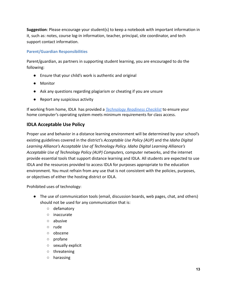**Suggestion**: Please encourage your student(s) to keep a notebook with important information in it, such as: notes, course log-in information, teacher, principal, site coordinator, and tech support contact information.

## <span id="page-12-0"></span>**Parent/Guardian Responsibilities**

Parent/guardian, as partners in supporting student learning, you are encouraged to do the following:

- Ensure that your child's work is authentic and original
- Monitor
- Ask any questions regarding plagiarism or cheating if you are unsure
- Report any suspicious activity

If working from home, IDLA has provided a *Technology [Readiness Checklist](http://www.idahodigitallearning.org/Students/GettingStarted/TechnicalRequirements.aspx)* to ensure your home computer's operating system meets minimum requirements for class access.

# <span id="page-12-1"></span>**IDLA Acceptable Use Policy**

Proper use and behavior in a distance learning environment will be determined by your school's existing guidelines covered in the district's *Acceptable Use Policy (AUP)* and the *Idaho Digital Learning Alliance's Acceptable Use of Technology Policy. Idaho Digital Learning Alliance's Acceptable Use of Technology Policy (AUP) Computers,* computer networks, and the internet provide essential tools that support distance learning and IDLA. All students are expected to use IDLA and the resources provided to access IDLA for purposes appropriate to the education environment. You must refrain from any use that is not consistent with the policies, purposes, or objectives of either the hosting district or IDLA.

Prohibited uses of technology:

- The use of communication tools (email, discussion boards, web pages, chat, and others) should not be used for any communication that is:
	- defamatory
	- inaccurate
	- abusive
	- rude
	- obscene
	- profane
	- sexually explicit
	- threatening
	- harassing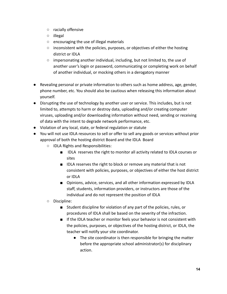- racially offensive
- illegal
- encouraging the use of illegal materials
- $\circ$  inconsistent with the policies, purposes, or objectives of either the hosting district or IDLA
- impersonating another individual, including, but not limited to, the use of another user's login or password, communicating or completing work on behalf of another individual, or mocking others in a derogatory manner
- Revealing personal or private information to others such as home address, age, gender, phone number, etc. You should also be cautious when releasing this information about yourself.
- Disrupting the use of technology by another user or service. This includes, but is not limited to, attempts to harm or destroy data, uploading and/or creating computer viruses, uploading and/or downloading information without need, sending or receiving of data with the intent to degrade network performance, etc.
- Violation of any local, state, or federal regulation or statute
- You will not use IDLA resources to sell or offer to sell any goods or services without prior approval of both the hosting district Board and the IDLA Board
	- IDLA Rights and Responsibilities:
		- IDLA reserves the right to monitor all activity related to IDLA courses or sites
		- IDLA reserves the right to block or remove any material that is not consistent with policies, purposes, or objectives of either the host district or IDLA
		- Opinions, advice, services, and all other information expressed by IDLA staff, students, information providers, or instructors are those of the individual and do not represent the position of IDLA
	- Discipline:
		- Student discipline for violation of any part of the policies, rules, or procedures of IDLA shall be based on the severity of the infraction.
		- If the IDLA teacher or monitor feels your behavior is not consistent with the policies, purposes, or objectives of the hosting district, or IDLA, the teacher will notify your site coordinator.
			- The site coordinator is then responsible for bringing the matter before the appropriate school administrator(s) for disciplinary action.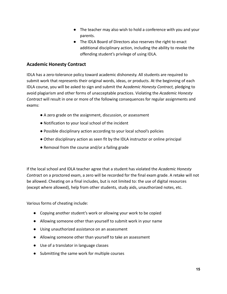- The teacher may also wish to hold a conference with you and your parents.
- The IDLA Board of Directors also reserves the right to enact additional disciplinary action, including the ability to revoke the offending student's privilege of using IDLA.

## <span id="page-14-0"></span>**Academic Honesty Contract**

IDLA has a zero-tolerance policy toward academic dishonesty. All students are required to submit work that represents their original words, ideas, or products. At the beginning of each IDLA course, you will be asked to sign and submit the A*cademic Honesty Contract,* pledging to avoid plagiarism and other forms of unacceptable practices. Violating the *Academic Honesty Contract* will result in one or more of the following consequences for regular assignments and exams:

- A zero grade on the assignment, discussion, or assessment
- Notification to your local school of the incident
- Possible disciplinary action according to your local school's policies
- Other disciplinary action as seen fit by the IDLA instructor or online principal
- Removal from the course and/or a failing grade

If the local school and IDLA teacher agree that a student has violated the *Academic Honesty Contrac*t on a proctored exam, a zero will be recorded for the final exam grade. A retake will not be allowed. Cheating on a final includes, but is not limited to: the use of digital resources (except where allowed), help from other students, study aids, unauthorized notes, etc.

Various forms of cheating include:

- Copying another student's work or allowing your work to be copied
- Allowing someone other than yourself to submit work in your name
- Using unauthorized assistance on an assessment
- Allowing someone other than yourself to take an assessment
- Use of a translator in language classes
- Submitting the same work for multiple courses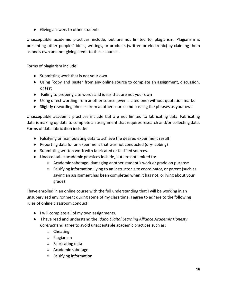● Giving answers to other students

Unacceptable academic practices include, but are not limited to, plagiarism. Plagiarism is presenting other peoples' ideas, writings, or products (written or electronic) by claiming them as one's own and not giving credit to these sources.

Forms of plagiarism include:

- Submitting work that is not your own
- Using "copy and paste" from any online source to complete an assignment, discussion, or test
- Failing to properly cite words and ideas that are not your own
- Using direct wording from another source (even a cited one) without quotation marks
- Slightly rewording phrases from another source and passing the phrases as your own

Unacceptable academic practices include but are not limited to fabricating data. Fabricating data is making up data to complete an assignment that requires research and/or collecting data. Forms of data fabrication include:

- Falsifying or manipulating data to achieve the desired experiment result
- Reporting data for an experiment that was not conducted (dry-labbing)
- Submitting written work with fabricated or falsified sources.
- Unacceptable academic practices include, but are not limited to:
	- Academic sabotage: damaging another student's work or grade on purpose
	- Falsifying information: lying to an instructor, site coordinator, or parent (such as saying an assignment has been completed when it has not, or lying about your grade)

I have enrolled in an online course with the full understanding that I will be working in an unsupervised environment during some of my class time. I agree to adhere to the following rules of online classroom conduct:

- I will complete all of my own assignments.
- I have read and understand the *Idaho Digital Learning Alliance Academic Honesty Contract* and agree to avoid unacceptable academic practices such as:
	- Cheating
	- Plagiarism
	- Fabricating data
	- Academic sabotage
	- Falsifying information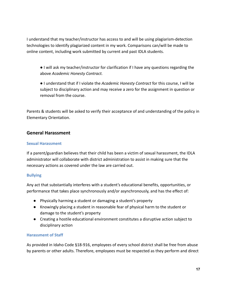I understand that my teacher/instructor has access to and will be using plagiarism-detection technologies to identify plagiarized content in my work. Comparisons can/will be made to online content, including work submitted by current and past IDLA students.

● I will ask my teacher/instructor for clarification if I have any questions regarding the above *Academic Honesty Contract.*

● I understand that if I violate the *Academic Honesty Contract* for this course, I will be subject to disciplinary action and may receive a zero for the assignment in question or removal from the course.

Parents & students will be asked to verify their acceptance of and understanding of the policy in Elementary Orientation.

## <span id="page-16-0"></span>**General Harassment**

## <span id="page-16-1"></span>**Sexual Harassment**

If a parent/guardian believes that their child has been a victim of sexual harassment, the IDLA administrator will collaborate with district administration to assist in making sure that the necessary actions as covered under the law are carried out.

## <span id="page-16-2"></span>**Bullying**

Any act that substantially interferes with a student's educational benefits, opportunities, or performance that takes place synchronously and/or asynchronously, and has the effect of:

- Physically harming a student or damaging a student's property
- Knowingly placing a student in reasonable fear of physical harm to the student or damage to the student's property
- Creating a hostile educational environment constitutes a disruptive action subject to disciplinary action

## <span id="page-16-3"></span>**Harassment of Staff**

As provided in Idaho Code §18-916, employees of every school district shall be free from abuse by parents or other adults. Therefore, employees must be respected as they perform and direct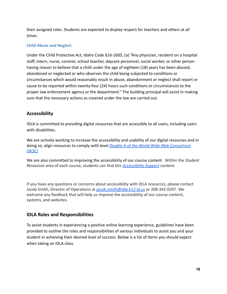their assigned roles. Students are expected to display respect for teachers and others at all times.

## <span id="page-17-0"></span>**Child Abuse and Neglect**

Under the Child Protective Act, Idaho Code §16-1605, (a) "Any physician, resident on a hospital staff, intern, nurse, coroner, school teacher, daycare personnel, social worker, or other person having reason to believe that a child under the age of eighteen (18) years has been abused, abandoned or neglected or who observes the child being subjected to conditions or circumstances which would reasonably result in abuse, abandonment or neglect shall report or cause to be reported within twenty-four (24) hours such conditions or circumstances to the proper law enforcement agency or the department." The building principal will assist in making sure that the necessary actions as covered under the law are carried out.

## <span id="page-17-1"></span>**Accessibility**

IDLA is committed to providing digital resources that are accessible to all users, including users with disabilities.

We are actively working to increase the accessibility and usability of our digital resources and in doing so, align resources to comply with level *Double-A [of the World Wide Web Consorti](https://www.w3.org/TR/WCAG20/)*um *[\(W3C\)](https://www.w3.org/TR/WCAG20/).*

We are also committed to improving the accessibility of our course content. Within the *Student Resources* area of each course, students can find this *[Accessibility Support](https://slor.s3.amazonaws.com/unlicensed/Other/TemplateMasters/Accessibility/index.html)* content.

If you have any questions or concerns about accessibility with IDLA resources, please contact Jacob Smith, Director of Operations at *[jacob.smith@idla.k12.id.us](mailto:jacob.smith@idla.k12.id.us)* or 208-342-0207. We welcome any feedback that will help us improve the accessibility of our course content, systems, and websites.

## <span id="page-17-2"></span>**IDLA Roles and Responsibilities**

To assist students in experiencing a positive online learning experience, guidelines have been provided to outline the roles and responsibilities of various individuals to assist you and your student in achieving their desired level of success. Below is a list of items you should expect when taking an IDLA class.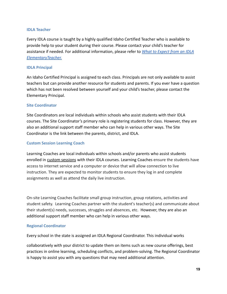#### <span id="page-18-0"></span>**IDLA Teacher**

Every IDLA course is taught by a highly qualified Idaho Certified Teacher who is available to provide help to your student during their course. Please contact your child's teacher for assistance if needed. For additional information, please refer to *[What to Expect from an IDLA](https://docs.google.com/document/d/18EfjidguRJL2JJ2Dr7DZQzXTE9RtD9vqgySwndVqHDA/edit#) [ElementaryTeacher.](https://docs.google.com/document/d/18EfjidguRJL2JJ2Dr7DZQzXTE9RtD9vqgySwndVqHDA/edit#)*

#### <span id="page-18-1"></span>**IDLA Principal**

An Idaho Certified Principal is assigned to each class. Principals are not only available to assist teachers but can provide another resource for students and parents. If you ever have a question which has not been resolved between yourself and your child's teacher, please contact the Elementary Principal.

#### <span id="page-18-2"></span>**Site Coordinator**

Site Coordinators are local individuals within schools who assist students with their IDLA courses. The Site Coordinator's primary role is registering students for class. However, they are also an additional support staff member who can help in various other ways. The Site Coordinator is the link between the parents, district, and IDLA.

#### <span id="page-18-3"></span>**Custom Session Learning Coach**

Learning Coaches are local individuals within schools and/or parents who assist students enrolled in custom sessions with their IDLA courses. Learning Coaches ensure the students have access to internet service and a computer or device that will allow connection to live instruction. They are expected to monitor students to ensure they log in and complete assignments as well as attend the daily live instruction.

On-site Learning Coaches facilitate small group instruction, group rotations, activities and student safety. Learning Coaches partner with the student's teacher(s) and communicate about their student(s) needs, successes, struggles and absences, etc. However, they are also an additional support staff member who can help in various other ways.

#### <span id="page-18-4"></span>**Regional Coordinator**

Every school in the state is assigned an IDLA Regional Coordinator. This individual works

collaboratively with your district to update them on items such as new course offerings, best practices in online learning, scheduling conflicts, and problem-solving. The Regional Coordinator is happy to assist you with any questions that may need additional attention.